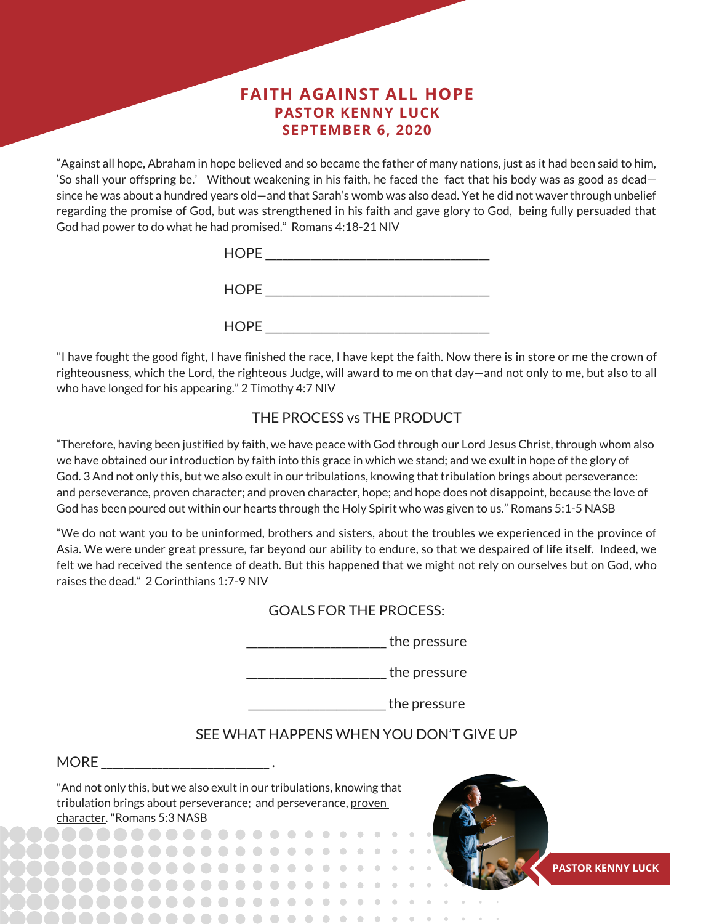# **FAITH AGAINST ALL HOPE PASTOR KENNY LUCK SEPTEMBER 6, 2020**

"Against all hope, Abraham in hope believed and so became the father of many nations, just as it had been said to him, 'So shall your offspring be.' Without weakening in his faith, he faced the fact that his body was as good as dead since he was about a hundred years old—and that Sarah's womb was also dead. Yet he did not waver through unbelief regarding the promise of God, but was strengthened in his faith and gave glory to God, being fully persuaded that God had power to do what he had promised." Romans 4:18-21 NIV

| <b>HOPE</b> |  |
|-------------|--|
| <b>HOPE</b> |  |
| <b>HOPE</b> |  |

"I have fought the good fight, I have finished the race, I have kept the faith. Now there is in store or me the crown of righteousness, which the Lord, the righteous Judge, will award to me on that day—and not only to me, but also to all who have longed for his appearing." 2 Timothy 4:7 NIV

# THE PROCESS vs THE PRODUCT

"Therefore, having been justified by faith, we have peace with God through our Lord Jesus Christ, through whom also we have obtained our introduction by faith into this grace in which we stand; and we exult in hope of the glory of God. 3 And not only this, but we also exult in our tribulations, knowing that tribulation brings about perseverance: and perseverance, proven character; and proven character, hope; and hope does not disappoint, because the love of God has been poured out within our hearts through the Holy Spirit who was given to us." Romans 5:1-5 NASB

"We do not want you to be uninformed, brothers and sisters, about the troubles we experienced in the province of Asia. We were under great pressure, far beyond our ability to endure, so that we despaired of life itself. Indeed, we felt we had received the sentence of death. But this happened that we might not rely on ourselves but on God, who raises the dead." 2 Corinthians 1:7-9 NIV

## GOALS FOR THE PROCESS:

\_\_\_\_\_\_\_\_\_\_\_\_\_\_\_\_\_\_\_\_\_\_\_\_\_the pressure

details and the pressure

details the pressure

# SEE WHAT HAPPENS WHEN YOU DON'T GIVE UP

#### MORE **with a set of the set of the set of the set of the set of the set of the set of the set of the set of the set of the set of the set of the set of the set of the set of the set of the set of the set of the set of the**

"And not only this, but we also exult in our tribulations, knowing that tribulation brings about perseverance; and perseverance, proven character."Romans 5:3 NASB

> $0000000000$ . . . . . .

> > . . . . . . . .

 $\bullet$   $\bullet$ 

 $\bullet$ 

 $- - - - - -$ 



**PASTOR KENNY LUCK**